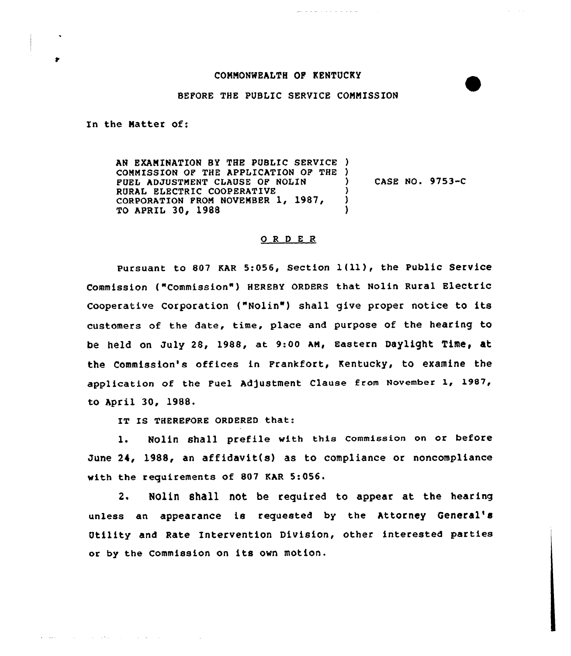## COMMONWEALTH OP KENTUCKY

## BEFORE THE PUBLIC SERVICE CONNISSION

In the Matter of:

an agus co

 $\mathcal{L}(\mathcal{L}(\mathcal{L}(\mathcal{L}(\mathcal{L}(\mathcal{L}(\mathcal{L}(\mathcal{L}(\mathcal{L}(\mathcal{L}(\mathcal{L}(\mathcal{L}(\mathcal{L}(\mathcal{L}(\mathcal{L}(\mathcal{L}(\mathcal{L}(\mathcal{L}(\mathcal{L}(\mathcal{L}(\mathcal{L}(\mathcal{L}(\mathcal{L}(\mathcal{L}(\mathcal{L}(\mathcal{L}(\mathcal{L}(\mathcal{L}(\mathcal{L}(\mathcal{L}(\mathcal{L}(\mathcal{L}(\mathcal{L}(\mathcal{L}(\mathcal{L}(\mathcal{L}(\mathcal{$ 

AN EXAMINATION BY THE PUBLIC SERVICE ) COMMISSION OF THE APPLICATION OF THE ) FUEL ADJUSTMENT CLAUSE OF NOLIN RURAL ELECTRIC COOPERATIVE CORPORATION FROM NOVEMBER 1, 1987, TO APRIL 30, 1988 ) CASE NO. 9753-C ) ) )

## 0 <sup>R</sup> <sup>D</sup> <sup>E</sup> <sup>R</sup>

Pursuant to 807 KAR 5:056, Section  $1(11)$ , the Public Service Commission ("Commission") HEREBY ORDERS that Nolin Rural Electric Cooperative Corporation ("Nolin") shall give proper notice to its customers of the date, time, place and purpose of the hearing to be held On July 28, 1988, at 9:00 AM, Eastern Daylight Time, at the Commission's offices in Frankfort, Kentucky, to examine the application of the Fuel Adjustment Clause from November 1, 1987, to April 30, 1988.

IT IS THEREFORE ORDERED that:

1. Nolin shall prefile with this commission on or before June 24, 1988, an affidavit(s) as to compliance or noncompliance with the requirements of 807 EAR 5:056.

2. Nolin shall not be required to appear at the hearing unless an appearance is requested by the Attorney General' Utility and Rate Intervention Division, other interested parties or by the Commission on its own motion.